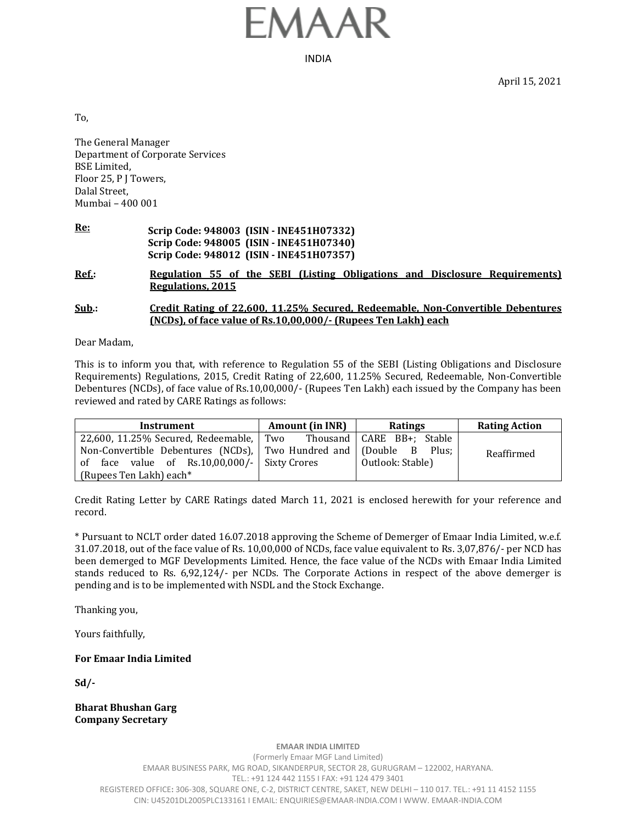# $EMAAR$

INDIA

April 15, 2021

To,

The General Manager Department of Corporate Services BSE Limited, Floor 25, P J Towers, Dalal Street, Mumbai – 400 001

|       | Scrip Code: 948005 (ISIN - INE451H07340)<br>Scrip Code: 948012 (ISIN - INE451H07357) |  |  |  |                                                                             |
|-------|--------------------------------------------------------------------------------------|--|--|--|-----------------------------------------------------------------------------|
| Ref.: | Regulations, 2015                                                                    |  |  |  | Regulation 55 of the SEBI (Listing Obligations and Disclosure Requirements) |

## **Sub.: Credit Rating of 22,600, 11.25% Secured, Redeemable, Non-Convertible Debentures (NCDs), of face value of Rs.10,00,000/- (Rupees Ten Lakh) each**

Dear Madam,

This is to inform you that, with reference to Regulation 55 of the SEBI (Listing Obligations and Disclosure Requirements) Regulations, 2015, Credit Rating of 22,600, 11.25% Secured, Redeemable, Non-Convertible Debentures (NCDs), of face value of Rs.10,00,000/- (Rupees Ten Lakh) each issued by the Company has been reviewed and rated by CARE Ratings as follows:

| Instrument                                                                                                                                                                                                                    | <b>Amount (in INR)</b> | <b>Ratings</b>   | <b>Rating Action</b> |
|-------------------------------------------------------------------------------------------------------------------------------------------------------------------------------------------------------------------------------|------------------------|------------------|----------------------|
| 22,600, 11.25% Secured, Redeemable, Two Thousand   CARE BB+; Stable<br>Non-Convertible Debentures (NCDs), Two Hundred and (Double B Plus;<br>of face value of $\text{Rs}.10,00,000/-$ Sixty Crores<br>(Rupees Ten Lakh) each* |                        | Outlook: Stable) | Reaffirmed           |

Credit Rating Letter by CARE Ratings dated March 11, 2021 is enclosed herewith for your reference and record.

\* Pursuant to NCLT order dated 16.07.2018 approving the Scheme of Demerger of Emaar India Limited, w.e.f. 31.07.2018, out of the face value of Rs. 10,00,000 of NCDs, face value equivalent to Rs. 3,07,876/- per NCD has been demerged to MGF Developments Limited. Hence, the face value of the NCDs with Emaar India Limited stands reduced to Rs. 6,92,124/- per NCDs. The Corporate Actions in respect of the above demerger is pending and is to be implemented with NSDL and the Stock Exchange.

Thanking you,

Yours faithfully,

#### **For Emaar India Limited**

**Sd/-**

**Bharat Bhushan Garg Company Secretary**

**EMAAR INDIA LIMITED**

(Formerly Emaar MGF Land Limited) EMAAR BUSINESS PARK, MG ROAD, SIKANDERPUR, SECTOR 28, GURUGRAM – 122002, HARYANA. TEL.: +91 124 442 1155 I FAX: +91 124 479 3401 REGISTERED OFFICE**:** 306-308, SQUARE ONE, C-2, DISTRICT CENTRE, SAKET, NEW DELHI – 110 017. TEL.: +91 11 4152 1155 CIN: U45201DL2005PLC133161 I EMAIL: ENQUIRIES@EMAAR-INDIA.COM I WWW. EMAAR-INDIA.COM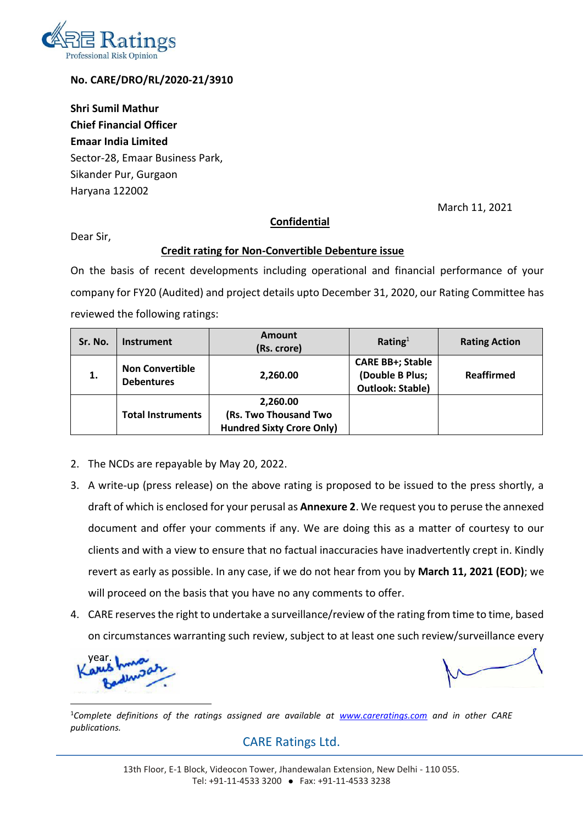

## **No. CARE/DRO/RL/2020-21/3910**

**Shri Sumil Mathur Chief Financial Officer Emaar India Limited** Sector-28, Emaar Business Park, Sikander Pur, Gurgaon Haryana 122002

March 11, 2021

## **Confidential**

Dear Sir,

## **Credit rating for Non-Convertible Debenture issue**

On the basis of recent developments including operational and financial performance of your company for FY20 (Audited) and project details upto December 31, 2020, our Rating Committee has reviewed the following ratings:

| Sr. No. | <b>Instrument</b>                           | <b>Amount</b><br>(Rs. crore)                                          | Rating $1$                                                            | <b>Rating Action</b> |
|---------|---------------------------------------------|-----------------------------------------------------------------------|-----------------------------------------------------------------------|----------------------|
| 1.      | <b>Non Convertible</b><br><b>Debentures</b> | 2,260.00                                                              | <b>CARE BB+; Stable</b><br>(Double B Plus;<br><b>Outlook: Stable)</b> | Reaffirmed           |
|         | <b>Total Instruments</b>                    | 2,260.00<br>(Rs. Two Thousand Two<br><b>Hundred Sixty Crore Only)</b> |                                                                       |                      |

- 2. The NCDs are repayable by May 20, 2022.
- 3. A write-up (press release) on the above rating is proposed to be issued to the press shortly, a draft of which is enclosed for your perusal as **Annexure 2**. We request you to peruse the annexed document and offer your comments if any. We are doing this as a matter of courtesy to our clients and with a view to ensure that no factual inaccuracies have inadvertently crept in. Kindly revert as early as possible. In any case, if we do not hear from you by **March 11, 2021 (EOD)**; we will proceed on the basis that you have no any comments to offer.
- 4. CARE reserves the right to undertake a surveillance/review of the rating from time to time, based on circumstances warranting such review, subject to at least one such review/surveillance every

year.

<sup>1</sup>*Complete definitions of the ratings assigned are available at [www.careratings.com](http://www.careratings.com/) and in other CARE publications.*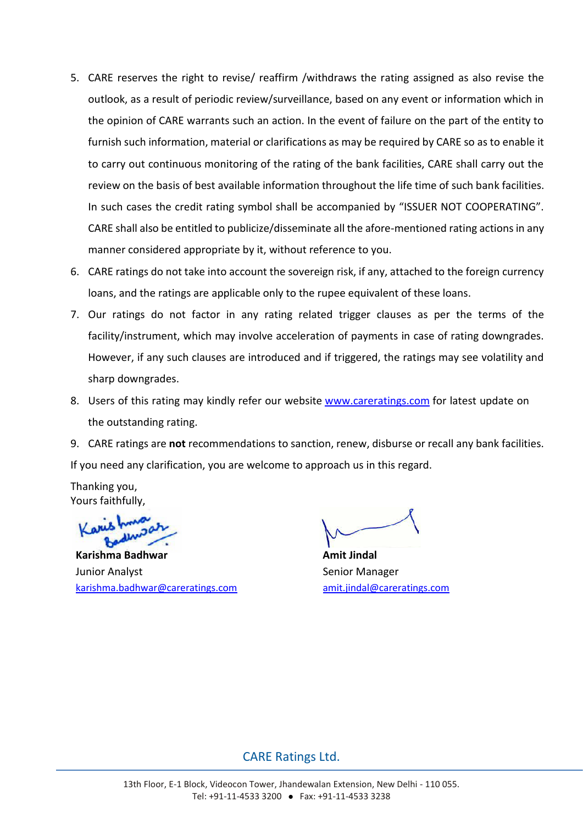- 5. CARE reserves the right to revise/ reaffirm /withdraws the rating assigned as also revise the outlook, as a result of periodic review/surveillance, based on any event or information which in the opinion of CARE warrants such an action. In the event of failure on the part of the entity to furnish such information, material or clarifications as may be required by CARE so as to enable it to carry out continuous monitoring of the rating of the bank facilities, CARE shall carry out the review on the basis of best available information throughout the life time of such bank facilities. In such cases the credit rating symbol shall be accompanied by "ISSUER NOT COOPERATING". CARE shall also be entitled to publicize/disseminate all the afore-mentioned rating actions in any manner considered appropriate by it, without reference to you.
- 6. CARE ratings do not take into account the sovereign risk, if any, attached to the foreign currency loans, and the ratings are applicable only to the rupee equivalent of these loans.
- 7. Our ratings do not factor in any rating related trigger clauses as per the terms of the facility/instrument, which may involve acceleration of payments in case of rating downgrades. However, if any such clauses are introduced and if triggered, the ratings may see volatility and sharp downgrades.
- 8. Users of this rating may kindly refer our website [www.careratings.com](http://www.careratings.com/) for latest update on the outstanding rating.
- 9. CARE ratings are **not** recommendations to sanction, renew, disburse or recall any bank facilities. If you need any clarification, you are welcome to approach us in this regard.

Thanking you, Yours faithfully,

Karishma Badhwar **Amit Jindal** Junior Analyst **Senior Manager** Senior Manager [karishma.badhwar@careratings.com](mailto:karishma.badhwar@careratings.com) [amit.jindal@careratings.com](mailto:amit.jindal@careratings.com)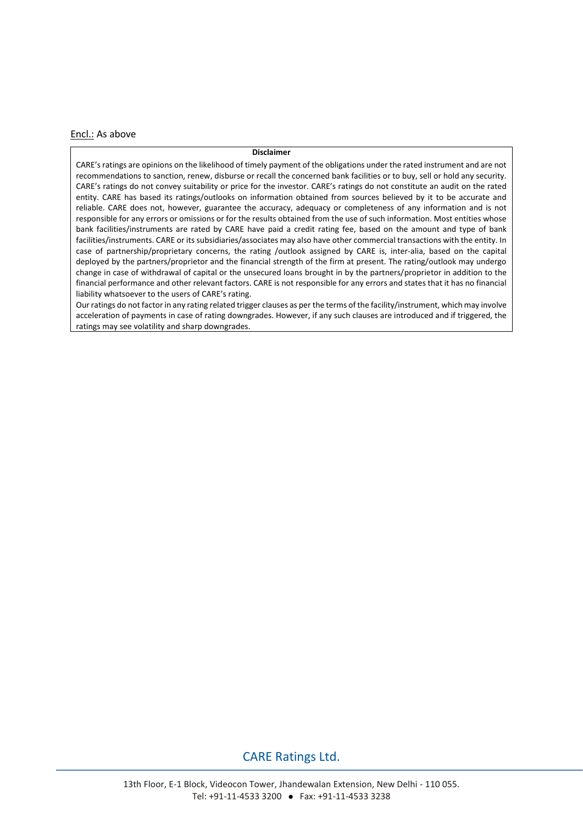#### Encl.: As above

#### **Disclaimer**

CARE's ratings are opinions on the likelihood of timely payment of the obligations under the rated instrument and are not recommendations to sanction, renew, disburse or recall the concerned bank facilities or to buy, sell or hold any security. CARE's ratings do not convey suitability or price for the investor. CARE's ratings do not constitute an audit on the rated entity. CARE has based its ratings/outlooks on information obtained from sources believed by it to be accurate and reliable. CARE does not, however, guarantee the accuracy, adequacy or completeness of any information and is not responsible for any errors or omissions or for the results obtained from the use of such information. Most entities whose bank facilities/instruments are rated by CARE have paid a credit rating fee, based on the amount and type of bank facilities/instruments. CARE or its subsidiaries/associates may also have other commercial transactions with the entity. In case of partnership/proprietary concerns, the rating /outlook assigned by CARE is, inter-alia, based on the capital deployed by the partners/proprietor and the financial strength of the firm at present. The rating/outlook may undergo change in case of withdrawal of capital or the unsecured loans brought in by the partners/proprietor in addition to the financial performance and other relevant factors. CARE is not responsible for any errors and states that it has no financial liability whatsoever to the users of CARE's rating.

Our ratings do not factor in any rating related trigger clauses as per the terms of the facility/instrument, which may involve acceleration of payments in case of rating downgrades. However, if any such clauses are introduced and if triggered, the ratings may see volatility and sharp downgrades.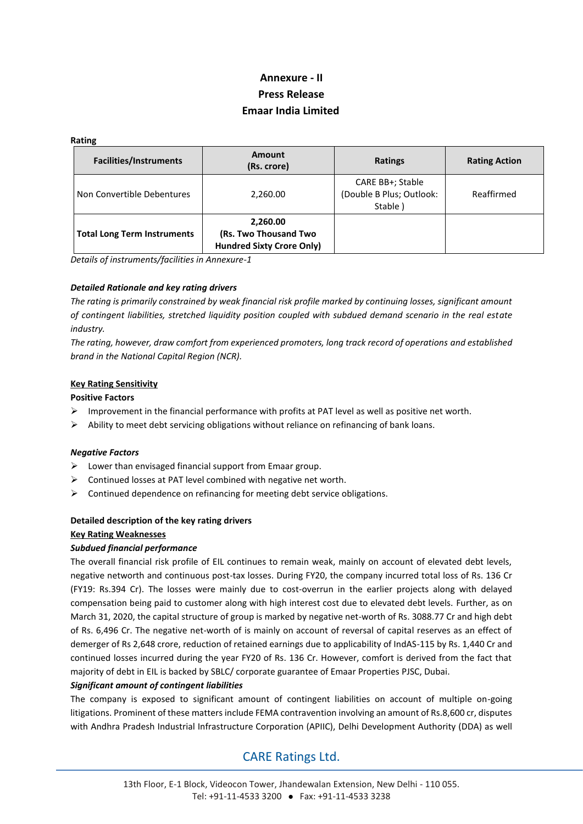# **Annexure - II Press Release Emaar India Limited**

#### **Rating**

| <b>Facilities/Instruments</b>      | <b>Amount</b><br>(Rs. crore)                                          | <b>Ratings</b>                                          | <b>Rating Action</b> |
|------------------------------------|-----------------------------------------------------------------------|---------------------------------------------------------|----------------------|
| Non Convertible Debentures         | 2,260.00                                                              | CARE BB+; Stable<br>(Double B Plus; Outlook:<br>Stable) | Reaffirmed           |
| <b>Total Long Term Instruments</b> | 2,260.00<br>(Rs. Two Thousand Two<br><b>Hundred Sixty Crore Only)</b> |                                                         |                      |

*Details of instruments/facilities in Annexure-1*

## *Detailed Rationale and key rating drivers*

*The rating is primarily constrained by weak financial risk profile marked by continuing losses, significant amount of contingent liabilities, stretched liquidity position coupled with subdued demand scenario in the real estate industry.*

*The rating, however, draw comfort from experienced promoters, long track record of operations and established brand in the National Capital Region (NCR).*

#### **Key Rating Sensitivity**

#### **Positive Factors**

- $\triangleright$  Improvement in the financial performance with profits at PAT level as well as positive net worth.
- $\triangleright$  Ability to meet debt servicing obligations without reliance on refinancing of bank loans.

#### *Negative Factors*

- $\triangleright$  Lower than envisaged financial support from Emaar group.
- ➢ Continued losses at PAT level combined with negative net worth.
- ➢ Continued dependence on refinancing for meeting debt service obligations.

#### **Detailed description of the key rating drivers**

#### **Key Rating Weaknesses**

#### *Subdued financial performance*

The overall financial risk profile of EIL continues to remain weak, mainly on account of elevated debt levels, negative networth and continuous post-tax losses. During FY20, the company incurred total loss of Rs. 136 Cr (FY19: Rs.394 Cr). The losses were mainly due to cost-overrun in the earlier projects along with delayed compensation being paid to customer along with high interest cost due to elevated debt levels. Further, as on March 31, 2020, the capital structure of group is marked by negative net-worth of Rs. 3088.77 Cr and high debt of Rs. 6,496 Cr. The negative net-worth of is mainly on account of reversal of capital reserves as an effect of demerger of Rs 2,648 crore, reduction of retained earnings due to applicability of IndAS-115 by Rs. 1,440 Cr and continued losses incurred during the year FY20 of Rs. 136 Cr. However, comfort is derived from the fact that majority of debt in EIL is backed by SBLC/ corporate guarantee of Emaar Properties PJSC, Dubai.

#### *Significant amount of contingent liabilities*

The company is exposed to significant amount of contingent liabilities on account of multiple on-going litigations. Prominent of these matters include FEMA contravention involving an amount of Rs.8,600 cr, disputes with Andhra Pradesh Industrial Infrastructure Corporation (APIIC), Delhi Development Authority (DDA) as well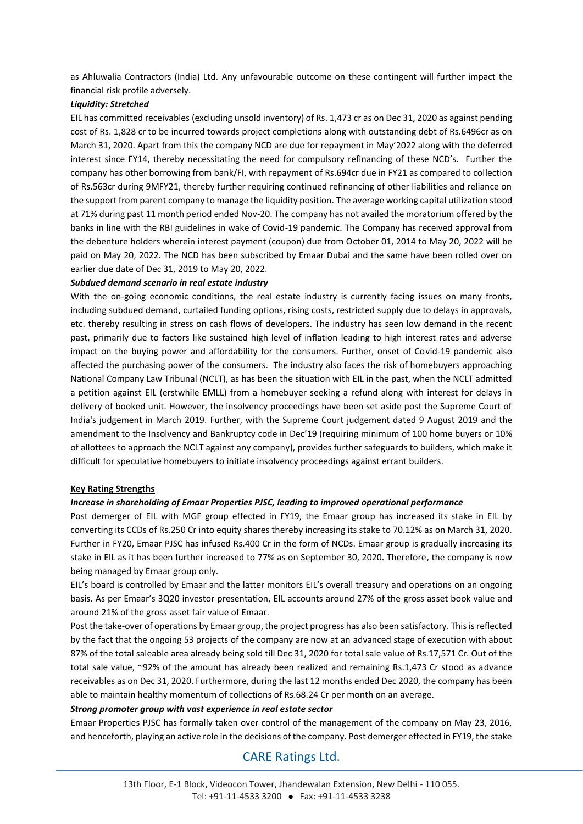as Ahluwalia Contractors (India) Ltd. Any unfavourable outcome on these contingent will further impact the financial risk profile adversely.

#### *Liquidity: Stretched*

EIL has committed receivables (excluding unsold inventory) of Rs. 1,473 cr as on Dec 31, 2020 as against pending cost of Rs. 1,828 cr to be incurred towards project completions along with outstanding debt of Rs.6496cr as on March 31, 2020. Apart from this the company NCD are due for repayment in May'2022 along with the deferred interest since FY14, thereby necessitating the need for compulsory refinancing of these NCD's. Further the company has other borrowing from bank/FI, with repayment of Rs.694cr due in FY21 as compared to collection of Rs.563cr during 9MFY21, thereby further requiring continued refinancing of other liabilities and reliance on the support from parent company to manage the liquidity position. The average working capital utilization stood at 71% during past 11 month period ended Nov-20. The company has not availed the moratorium offered by the banks in line with the RBI guidelines in wake of Covid-19 pandemic. The Company has received approval from the debenture holders wherein interest payment (coupon) due from October 01, 2014 to May 20, 2022 will be paid on May 20, 2022. The NCD has been subscribed by Emaar Dubai and the same have been rolled over on earlier due date of Dec 31, 2019 to May 20, 2022.

#### *Subdued demand scenario in real estate industry*

With the on-going economic conditions, the real estate industry is currently facing issues on many fronts, including subdued demand, curtailed funding options, rising costs, restricted supply due to delays in approvals, etc. thereby resulting in stress on cash flows of developers. The industry has seen low demand in the recent past, primarily due to factors like sustained high level of inflation leading to high interest rates and adverse impact on the buying power and affordability for the consumers. Further, onset of Covid-19 pandemic also affected the purchasing power of the consumers. The industry also faces the risk of homebuyers approaching National Company Law Tribunal (NCLT), as has been the situation with EIL in the past, when the NCLT admitted a petition against EIL (erstwhile EMLL) from a homebuyer seeking a refund along with interest for delays in delivery of booked unit. However, the insolvency proceedings have been set aside post the Supreme Court of India's judgement in March 2019. Further, with the Supreme Court judgement dated 9 August 2019 and the amendment to the Insolvency and Bankruptcy code in Dec'19 (requiring minimum of 100 home buyers or 10% of allottees to approach the NCLT against any company), provides further safeguards to builders, which make it difficult for speculative homebuyers to initiate insolvency proceedings against errant builders.

#### **Key Rating Strengths**

#### *Increase in shareholding of Emaar Properties PJSC, leading to improved operational performance*

Post demerger of EIL with MGF group effected in FY19, the Emaar group has increased its stake in EIL by converting its CCDs of Rs.250 Cr into equity shares thereby increasing its stake to 70.12% as on March 31, 2020. Further in FY20, Emaar PJSC has infused Rs.400 Cr in the form of NCDs. Emaar group is gradually increasing its stake in EIL as it has been further increased to 77% as on September 30, 2020. Therefore, the company is now being managed by Emaar group only.

EIL's board is controlled by Emaar and the latter monitors EIL's overall treasury and operations on an ongoing basis. As per Emaar's 3Q20 investor presentation, EIL accounts around 27% of the gross asset book value and around 21% of the gross asset fair value of Emaar.

Post the take-over of operations by Emaar group, the project progress has also been satisfactory. This is reflected by the fact that the ongoing 53 projects of the company are now at an advanced stage of execution with about 87% of the total saleable area already being sold till Dec 31, 2020 for total sale value of Rs.17,571 Cr. Out of the total sale value, ~92% of the amount has already been realized and remaining Rs.1,473 Cr stood as advance receivables as on Dec 31, 2020. Furthermore, during the last 12 months ended Dec 2020, the company has been able to maintain healthy momentum of collections of Rs.68.24 Cr per month on an average.

#### *Strong promoter group with vast experience in real estate sector*

Emaar Properties PJSC has formally taken over control of the management of the company on May 23, 2016, and henceforth, playing an active role in the decisions of the company. Post demerger effected in FY19, the stake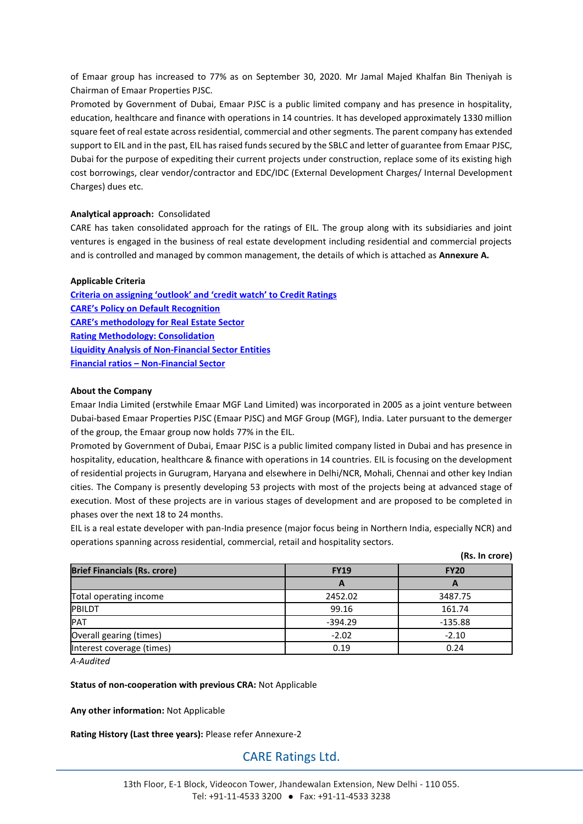of Emaar group has increased to 77% as on September 30, 2020. Mr Jamal Majed Khalfan Bin Theniyah is Chairman of Emaar Properties PJSC.

Promoted by Government of Dubai, Emaar PJSC is a public limited company and has presence in hospitality, education, healthcare and finance with operations in 14 countries. It has developed approximately 1330 million square feet of real estate across residential, commercial and other segments. The parent company has extended support to EIL and in the past, EIL has raised funds secured by the SBLC and letter of guarantee from Emaar PJSC, Dubai for the purpose of expediting their current projects under construction, replace some of its existing high cost borrowings, clear vendor/contractor and EDC/IDC (External Development Charges/ Internal Development Charges) dues etc.

#### **Analytical approach:** Consolidated

CARE has taken consolidated approach for the ratings of EIL. The group along with its subsidiaries and joint ventures is engaged in the business of real estate development including residential and commercial projects and is controlled and managed by common management, the details of which is attached as **Annexure A.**

#### **Applicable Criteria**

**[Criteria on assigning 'outlook' and 'credit watch' to C](https://www.careratings.com/pdf/resources/Rating%20Outlook%20and%20credit%20watch%20_30May%202020.pdf)redit Ratings [CARE's Policy on Default Recognition](https://www.careratings.com/pdf/resources/CARE) [CARE's methodology for Real](https://www.careratings.com/upload/NewsFiles/GetRated/Rating%20methodology%20for%20Real%20Estate%20Sector_%20Feb2020.pdf) Estate Sector [Rating Methodology: Consolidation](https://www.careratings.com/upload/NewsFiles/GetRated/Rating%20Methodology%20-%20Consolidation-Oct%2020.pdf) [Liquidity Analysis of Non-Financial Sector Entities](https://www.careratings.com/pdf/resources/Liquidity%20Analysis%20of%20Non-Financial%20Sector%20entities_May2020.pdf)  Financial ratios – [Non-Financial Sector](https://www.careratings.com/pdf/resources/Financial%20ratios%20-%20Non%20Financial%20Sector-Mar%2021.pdf)**

#### **About the Company**

Emaar India Limited (erstwhile Emaar MGF Land Limited) was incorporated in 2005 as a joint venture between Dubai-based Emaar Properties PJSC (Emaar PJSC) and MGF Group (MGF), India. Later pursuant to the demerger of the group, the Emaar group now holds 77% in the EIL.

Promoted by Government of Dubai, Emaar PJSC is a public limited company listed in Dubai and has presence in hospitality, education, healthcare & finance with operations in 14 countries. EIL is focusing on the development of residential projects in Gurugram, Haryana and elsewhere in Delhi/NCR, Mohali, Chennai and other key Indian cities. The Company is presently developing 53 projects with most of the projects being at advanced stage of execution. Most of these projects are in various stages of development and are proposed to be completed in phases over the next 18 to 24 months.

EIL is a real estate developer with pan-India presence (major focus being in Northern India, especially NCR) and operations spanning across residential, commercial, retail and hospitality sectors.

|                                     |             | (Rs. In crore) |  |
|-------------------------------------|-------------|----------------|--|
| <b>Brief Financials (Rs. crore)</b> | <b>FY19</b> | <b>FY20</b>    |  |
|                                     | A           |                |  |
| Total operating income              | 2452.02     | 3487.75        |  |
| PBILDT                              | 99.16       | 161.74         |  |
| <b>PAT</b>                          | $-394.29$   | $-135.88$      |  |
| Overall gearing (times)             | $-2.02$     | $-2.10$        |  |
| Interest coverage (times)           | 0.19        | 0.24           |  |

*A-Audited*

#### **Status of non-cooperation with previous CRA:** Not Applicable

**Any other information:** Not Applicable

**Rating History (Last three years):** Please refer Annexure-2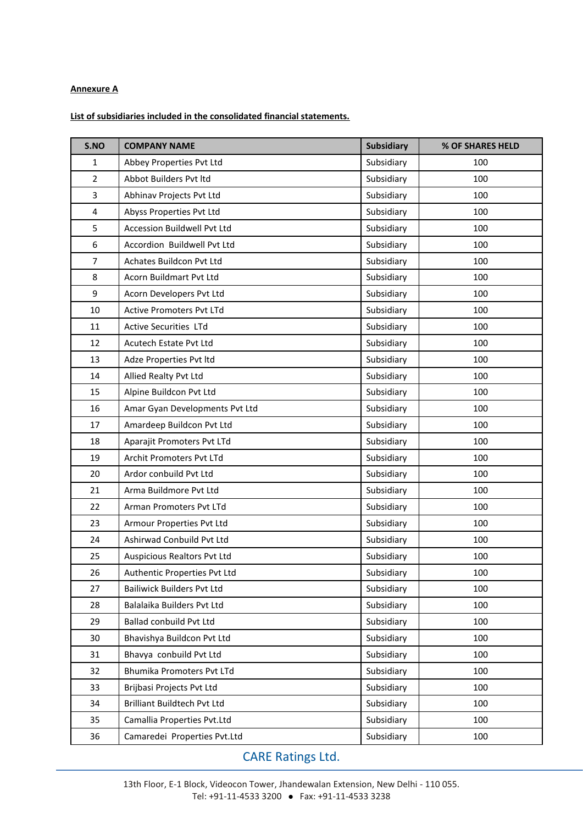## **Annexure A**

## **List of subsidiaries included in the consolidated financial statements.**

| S.NO           | <b>COMPANY NAME</b>                | <b>Subsidiary</b> | % OF SHARES HELD |
|----------------|------------------------------------|-------------------|------------------|
| $\mathbf{1}$   | Abbey Properties Pvt Ltd           | Subsidiary        | 100              |
| $\overline{2}$ | Abbot Builders Pvt ltd             | Subsidiary        | 100              |
| 3              | Abhinav Projects Pvt Ltd           | Subsidiary        | 100              |
| 4              | Abyss Properties Pvt Ltd           | Subsidiary        | 100              |
| 5              | <b>Accession Buildwell Pvt Ltd</b> | Subsidiary        | 100              |
| 6              | Accordion Buildwell Pvt Ltd        | Subsidiary        | 100              |
| $\overline{7}$ | Achates Buildcon Pvt Ltd           | Subsidiary        | 100              |
| 8              | Acorn Buildmart Pvt Ltd            | Subsidiary        | 100              |
| 9              | Acorn Developers Pvt Ltd           | Subsidiary        | 100              |
| 10             | <b>Active Promoters Pvt LTd</b>    | Subsidiary        | 100              |
| 11             | Active Securities LTd              | Subsidiary        | 100              |
| 12             | Acutech Estate Pvt Ltd             | Subsidiary        | 100              |
| 13             | Adze Properties Pvt ltd            | Subsidiary        | 100              |
| 14             | Allied Realty Pvt Ltd              | Subsidiary        | 100              |
| 15             | Alpine Buildcon Pvt Ltd            | Subsidiary        | 100              |
| 16             | Amar Gyan Developments Pvt Ltd     | Subsidiary        | 100              |
| 17             | Amardeep Buildcon Pvt Ltd          | Subsidiary        | 100              |
| 18             | Aparajit Promoters Pvt LTd         | Subsidiary        | 100              |
| 19             | Archit Promoters Pvt LTd           | Subsidiary        | 100              |
| 20             | Ardor conbuild Pvt Ltd             | Subsidiary        | 100              |
| 21             | Arma Buildmore Pvt Ltd             | Subsidiary        | 100              |
| 22             | Arman Promoters Pvt LTd            | Subsidiary        | 100              |
| 23             | Armour Properties Pvt Ltd          | Subsidiary        | 100              |
| 24             | Ashirwad Conbuild Pvt Ltd          | Subsidiary        | 100              |
| 25             | Auspicious Realtors Pvt Ltd        | Subsidiary        | 100              |
| 26             | Authentic Properties Pvt Ltd       | Subsidiary        | 100              |
| 27             | <b>Bailiwick Builders Pvt Ltd</b>  | Subsidiary        | 100              |
| 28             | Balalaika Builders Pvt Ltd         | Subsidiary        | 100              |
| 29             | Ballad conbuild Pvt Ltd            | Subsidiary        | 100              |
| 30             | Bhavishya Buildcon Pvt Ltd         | Subsidiary        | 100              |
| 31             | Bhavya conbuild Pvt Ltd            | Subsidiary        | 100              |
| 32             | Bhumika Promoters Pvt LTd          | Subsidiary        | 100              |
| 33             | Brijbasi Projects Pvt Ltd          | Subsidiary        | 100              |
| 34             | Brilliant Buildtech Pvt Ltd        | Subsidiary        | 100              |
| 35             | Camallia Properties Pvt.Ltd        | Subsidiary        | 100              |
| 36             | Camaredei Properties Pvt.Ltd       | Subsidiary        | 100              |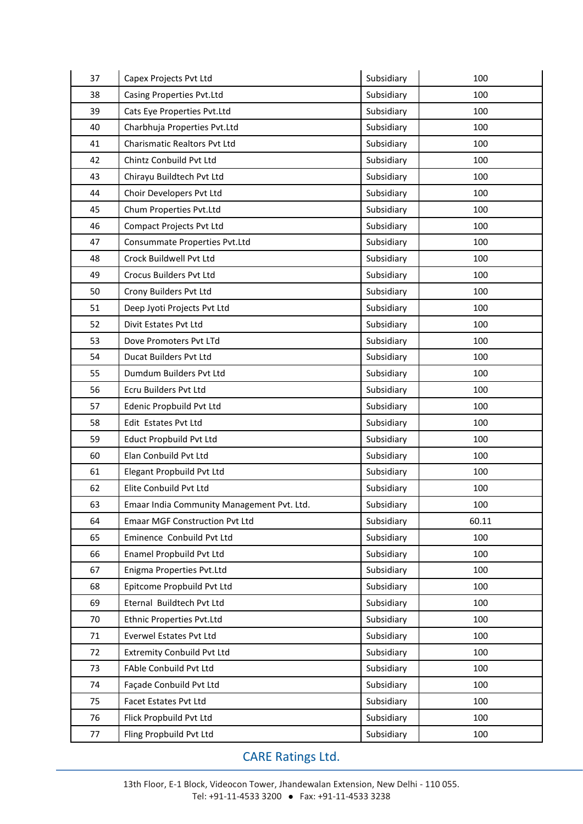| 37 | Capex Projects Pvt Ltd                     | Subsidiary | 100   |
|----|--------------------------------------------|------------|-------|
| 38 | Casing Properties Pvt.Ltd                  | Subsidiary | 100   |
| 39 | Cats Eye Properties Pvt.Ltd                | Subsidiary | 100   |
| 40 | Charbhuja Properties Pvt.Ltd               | Subsidiary | 100   |
| 41 | <b>Charismatic Realtors Pvt Ltd</b>        | Subsidiary | 100   |
| 42 | Chintz Conbuild Pvt Ltd                    | Subsidiary | 100   |
| 43 | Chirayu Buildtech Pvt Ltd                  | Subsidiary | 100   |
| 44 | Choir Developers Pvt Ltd                   | Subsidiary | 100   |
| 45 | Chum Properties Pvt.Ltd                    | Subsidiary | 100   |
| 46 | Compact Projects Pvt Ltd                   | Subsidiary | 100   |
| 47 | Consummate Properties Pvt.Ltd              | Subsidiary | 100   |
| 48 | Crock Buildwell Pvt Ltd                    | Subsidiary | 100   |
| 49 | Crocus Builders Pvt Ltd                    | Subsidiary | 100   |
| 50 | Crony Builders Pvt Ltd                     | Subsidiary | 100   |
| 51 | Deep Jyoti Projects Pvt Ltd                | Subsidiary | 100   |
| 52 | Divit Estates Pvt Ltd                      | Subsidiary | 100   |
| 53 | Dove Promoters Pvt LTd                     | Subsidiary | 100   |
| 54 | Ducat Builders Pvt Ltd                     | Subsidiary | 100   |
| 55 | Dumdum Builders Pvt Ltd                    | Subsidiary | 100   |
| 56 | Ecru Builders Pvt Ltd                      | Subsidiary | 100   |
| 57 | Edenic Propbuild Pvt Ltd                   | Subsidiary | 100   |
| 58 | Edit Estates Pvt Ltd                       | Subsidiary | 100   |
| 59 | <b>Educt Propbuild Pvt Ltd</b>             | Subsidiary | 100   |
| 60 | Elan Conbuild Pvt Ltd                      | Subsidiary | 100   |
| 61 | Elegant Propbuild Pvt Ltd                  | Subsidiary | 100   |
| 62 | Elite Conbuild Pvt Ltd                     | Subsidiary | 100   |
| 63 | Emaar India Community Management Pvt. Ltd. | Subsidiary | 100   |
| 64 | <b>Emaar MGF Construction Pvt Ltd</b>      | Subsidiary | 60.11 |
| 65 | Eminence Conbuild Pvt Ltd                  | Subsidiary | 100   |
| 66 | Enamel Propbuild Pvt Ltd                   | Subsidiary | 100   |
| 67 | Enigma Properties Pvt.Ltd                  | Subsidiary | 100   |
| 68 | Epitcome Propbuild Pvt Ltd                 | Subsidiary | 100   |
| 69 | Eternal Buildtech Pvt Ltd                  | Subsidiary | 100   |
| 70 | Ethnic Properties Pvt.Ltd                  | Subsidiary | 100   |
| 71 | <b>Everwel Estates Pvt Ltd</b>             | Subsidiary | 100   |
| 72 | <b>Extremity Conbuild Pvt Ltd</b>          | Subsidiary | 100   |
| 73 | FAble Conbuild Pvt Ltd                     | Subsidiary | 100   |
| 74 | Façade Conbuild Pvt Ltd                    | Subsidiary | 100   |
| 75 | Facet Estates Pvt Ltd                      | Subsidiary | 100   |
| 76 | Flick Propbuild Pvt Ltd                    | Subsidiary | 100   |
| 77 | Fling Propbuild Pvt Ltd                    | Subsidiary | 100   |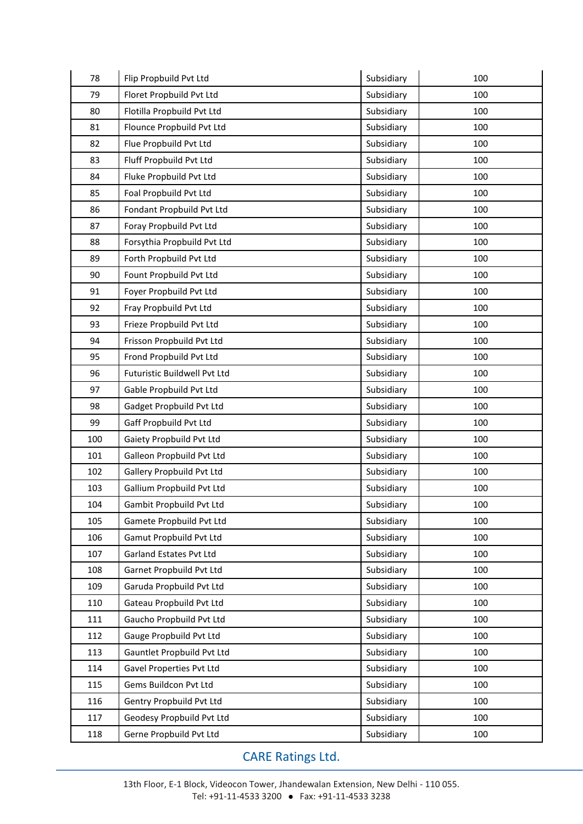| 78  | Flip Propbuild Pvt Ltd       | Subsidiary | 100 |
|-----|------------------------------|------------|-----|
| 79  | Floret Propbuild Pvt Ltd     | Subsidiary | 100 |
| 80  | Flotilla Propbuild Pvt Ltd   | Subsidiary | 100 |
| 81  | Flounce Propbuild Pvt Ltd    | Subsidiary | 100 |
| 82  | Flue Propbuild Pvt Ltd       | Subsidiary | 100 |
| 83  | Fluff Propbuild Pvt Ltd      | Subsidiary | 100 |
| 84  | Fluke Propbuild Pvt Ltd      | Subsidiary | 100 |
| 85  | Foal Propbuild Pvt Ltd       | Subsidiary | 100 |
| 86  | Fondant Propbuild Pvt Ltd    | Subsidiary | 100 |
| 87  | Foray Propbuild Pvt Ltd      | Subsidiary | 100 |
| 88  | Forsythia Propbuild Pvt Ltd  | Subsidiary | 100 |
| 89  | Forth Propbuild Pvt Ltd      | Subsidiary | 100 |
| 90  | Fount Propbuild Pvt Ltd      | Subsidiary | 100 |
| 91  | Foyer Propbuild Pvt Ltd      | Subsidiary | 100 |
| 92  | Fray Propbuild Pvt Ltd       | Subsidiary | 100 |
| 93  | Frieze Propbuild Pvt Ltd     | Subsidiary | 100 |
| 94  | Frisson Propbuild Pvt Ltd    | Subsidiary | 100 |
| 95  | Frond Propbuild Pvt Ltd      | Subsidiary | 100 |
| 96  | Futuristic Buildwell Pvt Ltd | Subsidiary | 100 |
| 97  | Gable Propbuild Pvt Ltd      | Subsidiary | 100 |
| 98  | Gadget Propbuild Pvt Ltd     | Subsidiary | 100 |
| 99  | Gaff Propbuild Pvt Ltd       | Subsidiary | 100 |
| 100 | Gaiety Propbuild Pvt Ltd     | Subsidiary | 100 |
| 101 | Galleon Propbuild Pvt Ltd    | Subsidiary | 100 |
| 102 | Gallery Propbuild Pvt Ltd    | Subsidiary | 100 |
| 103 | Gallium Propbuild Pvt Ltd    | Subsidiary | 100 |
| 104 | Gambit Propbuild Pvt Ltd     | Subsidiary | 100 |
| 105 | Gamete Propbuild Pvt Ltd     | Subsidiary | 100 |
| 106 | Gamut Propbuild Pvt Ltd      | Subsidiary | 100 |
| 107 | Garland Estates Pvt Ltd      | Subsidiary | 100 |
| 108 | Garnet Propbuild Pvt Ltd     | Subsidiary | 100 |
| 109 | Garuda Propbuild Pvt Ltd     | Subsidiary | 100 |
| 110 | Gateau Propbuild Pvt Ltd     | Subsidiary | 100 |
| 111 | Gaucho Propbuild Pvt Ltd     | Subsidiary | 100 |
| 112 | Gauge Propbuild Pvt Ltd      | Subsidiary | 100 |
| 113 | Gauntlet Propbuild Pvt Ltd   | Subsidiary | 100 |
| 114 | Gavel Properties Pvt Ltd     | Subsidiary | 100 |
| 115 | Gems Buildcon Pvt Ltd        | Subsidiary | 100 |
| 116 | Gentry Propbuild Pvt Ltd     | Subsidiary | 100 |
| 117 | Geodesy Propbuild Pvt Ltd    | Subsidiary | 100 |
| 118 | Gerne Propbuild Pvt Ltd      | Subsidiary | 100 |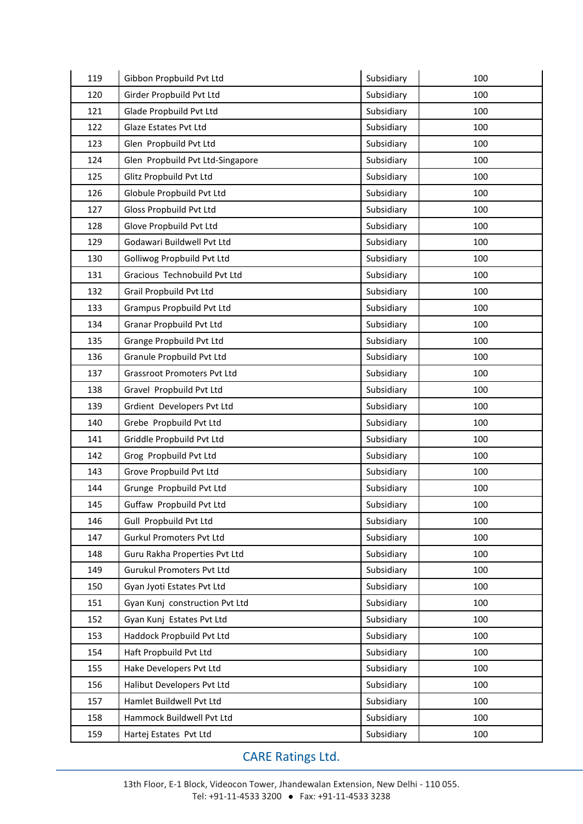| 119 | Gibbon Propbuild Pvt Ltd           | Subsidiary | 100 |
|-----|------------------------------------|------------|-----|
| 120 | Girder Propbuild Pvt Ltd           | Subsidiary | 100 |
| 121 | Glade Propbuild Pvt Ltd            | Subsidiary | 100 |
| 122 | Glaze Estates Pvt Ltd              | Subsidiary | 100 |
| 123 | Glen Propbuild Pvt Ltd             | Subsidiary | 100 |
| 124 | Glen Propbuild Pvt Ltd-Singapore   | Subsidiary | 100 |
| 125 | Glitz Propbuild Pvt Ltd            | Subsidiary | 100 |
| 126 | Globule Propbuild Pvt Ltd          | Subsidiary | 100 |
| 127 | Gloss Propbuild Pvt Ltd            | Subsidiary | 100 |
| 128 | Glove Propbuild Pvt Ltd            | Subsidiary | 100 |
| 129 | Godawari Buildwell Pvt Ltd         | Subsidiary | 100 |
| 130 | Golliwog Propbuild Pvt Ltd         | Subsidiary | 100 |
| 131 | Gracious Technobuild Pvt Ltd       | Subsidiary | 100 |
| 132 | Grail Propbuild Pvt Ltd            | Subsidiary | 100 |
| 133 | Grampus Propbuild Pvt Ltd          | Subsidiary | 100 |
| 134 | Granar Propbuild Pvt Ltd           | Subsidiary | 100 |
| 135 | Grange Propbuild Pvt Ltd           | Subsidiary | 100 |
| 136 | Granule Propbuild Pvt Ltd          | Subsidiary | 100 |
| 137 | <b>Grassroot Promoters Pvt Ltd</b> | Subsidiary | 100 |
| 138 | Gravel Propbuild Pvt Ltd           | Subsidiary | 100 |
| 139 | Grdient Developers Pvt Ltd         | Subsidiary | 100 |
| 140 | Grebe Propbuild Pvt Ltd            | Subsidiary | 100 |
| 141 | Griddle Propbuild Pvt Ltd          | Subsidiary | 100 |
| 142 | Grog Propbuild Pvt Ltd             | Subsidiary | 100 |
| 143 | Grove Propbuild Pvt Ltd            | Subsidiary | 100 |
| 144 | Grunge Propbuild Pvt Ltd           | Subsidiary | 100 |
| 145 | Guffaw Propbuild Pvt Ltd           | Subsidiary | 100 |
| 146 | Gull Propbuild Pvt Ltd             | Subsidiary | 100 |
| 147 | Gurkul Promoters Pvt Ltd           | Subsidiary | 100 |
| 148 | Guru Rakha Properties Pvt Ltd      | Subsidiary | 100 |
| 149 | <b>Gurukul Promoters Pvt Ltd</b>   | Subsidiary | 100 |
| 150 | Gyan Jyoti Estates Pvt Ltd         | Subsidiary | 100 |
| 151 | Gyan Kunj construction Pvt Ltd     | Subsidiary | 100 |
| 152 | Gyan Kunj Estates Pvt Ltd          | Subsidiary | 100 |
| 153 | Haddock Propbuild Pvt Ltd          | Subsidiary | 100 |
| 154 | Haft Propbuild Pvt Ltd             | Subsidiary | 100 |
| 155 | Hake Developers Pvt Ltd            | Subsidiary | 100 |
| 156 | Halibut Developers Pvt Ltd         | Subsidiary | 100 |
| 157 | Hamlet Buildwell Pvt Ltd           | Subsidiary | 100 |
| 158 | Hammock Buildwell Pvt Ltd          | Subsidiary | 100 |
| 159 | Hartej Estates Pvt Ltd             | Subsidiary | 100 |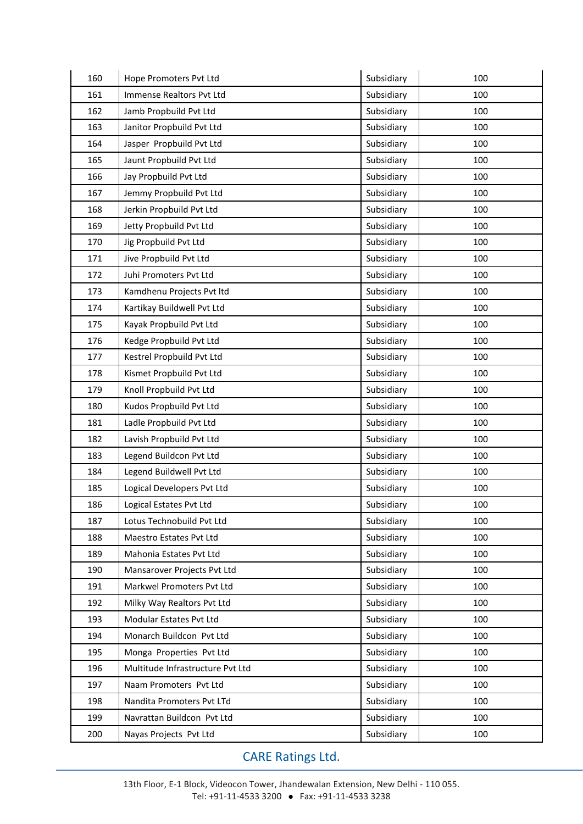| 160 | Hope Promoters Pvt Ltd           | Subsidiary | 100 |
|-----|----------------------------------|------------|-----|
| 161 | Immense Realtors Pvt Ltd         | Subsidiary | 100 |
| 162 | Jamb Propbuild Pvt Ltd           | Subsidiary | 100 |
| 163 | Janitor Propbuild Pvt Ltd        | Subsidiary | 100 |
| 164 | Jasper Propbuild Pvt Ltd         | Subsidiary | 100 |
| 165 | Jaunt Propbuild Pvt Ltd          | Subsidiary | 100 |
| 166 | Jay Propbuild Pvt Ltd            | Subsidiary | 100 |
| 167 | Jemmy Propbuild Pvt Ltd          | Subsidiary | 100 |
| 168 | Jerkin Propbuild Pvt Ltd         | Subsidiary | 100 |
| 169 | Jetty Propbuild Pvt Ltd          | Subsidiary | 100 |
| 170 | Jig Propbuild Pvt Ltd            | Subsidiary | 100 |
| 171 | Jive Propbuild Pvt Ltd           | Subsidiary | 100 |
| 172 | Juhi Promoters Pvt Ltd           | Subsidiary | 100 |
| 173 | Kamdhenu Projects Pvt ltd        | Subsidiary | 100 |
| 174 | Kartikay Buildwell Pvt Ltd       | Subsidiary | 100 |
| 175 | Kayak Propbuild Pvt Ltd          | Subsidiary | 100 |
| 176 | Kedge Propbuild Pvt Ltd          | Subsidiary | 100 |
| 177 | Kestrel Propbuild Pvt Ltd        | Subsidiary | 100 |
| 178 | Kismet Propbuild Pvt Ltd         | Subsidiary | 100 |
| 179 | Knoll Propbuild Pvt Ltd          | Subsidiary | 100 |
| 180 | Kudos Propbuild Pvt Ltd          | Subsidiary | 100 |
| 181 | Ladle Propbuild Pvt Ltd          | Subsidiary | 100 |
| 182 | Lavish Propbuild Pvt Ltd         | Subsidiary | 100 |
| 183 | Legend Buildcon Pvt Ltd          | Subsidiary | 100 |
| 184 | Legend Buildwell Pvt Ltd         | Subsidiary | 100 |
| 185 | Logical Developers Pvt Ltd       | Subsidiary | 100 |
| 186 | Logical Estates Pvt Ltd          | Subsidiary | 100 |
| 187 | Lotus Technobuild Pvt Ltd        | Subsidiary | 100 |
| 188 | Maestro Estates Pvt Ltd          | Subsidiary | 100 |
| 189 | Mahonia Estates Pvt Ltd          | Subsidiary | 100 |
| 190 | Mansarover Projects Pvt Ltd      | Subsidiary | 100 |
| 191 | Markwel Promoters Pvt Ltd        | Subsidiary | 100 |
| 192 | Milky Way Realtors Pvt Ltd       | Subsidiary | 100 |
| 193 | Modular Estates Pvt Ltd          | Subsidiary | 100 |
| 194 | Monarch Buildcon Pvt Ltd         | Subsidiary | 100 |
| 195 | Monga Properties Pvt Ltd         | Subsidiary | 100 |
| 196 | Multitude Infrastructure Pvt Ltd | Subsidiary | 100 |
| 197 | Naam Promoters Pvt Ltd           | Subsidiary | 100 |
| 198 | Nandita Promoters Pvt LTd        | Subsidiary | 100 |
| 199 | Navrattan Buildcon Pvt Ltd       | Subsidiary | 100 |
| 200 | Nayas Projects Pvt Ltd           | Subsidiary | 100 |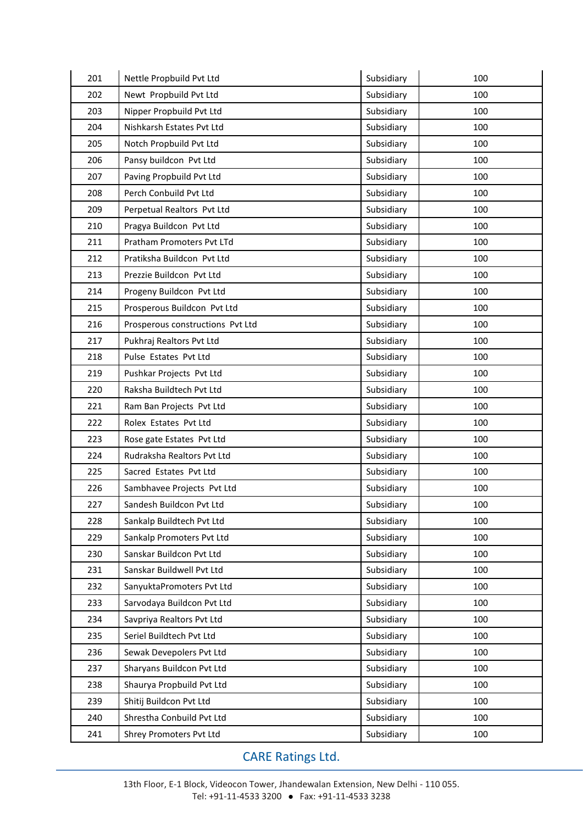| 201 | Nettle Propbuild Pvt Ltd         | Subsidiary | 100 |
|-----|----------------------------------|------------|-----|
| 202 | Newt Propbuild Pvt Ltd           | Subsidiary | 100 |
| 203 | Nipper Propbuild Pvt Ltd         | Subsidiary | 100 |
| 204 | Nishkarsh Estates Pvt Ltd        | Subsidiary | 100 |
| 205 | Notch Propbuild Pvt Ltd          | Subsidiary | 100 |
| 206 | Pansy buildcon Pvt Ltd           | Subsidiary | 100 |
| 207 | Paving Propbuild Pvt Ltd         | Subsidiary | 100 |
| 208 | Perch Conbuild Pvt Ltd           | Subsidiary | 100 |
| 209 | Perpetual Realtors Pvt Ltd       | Subsidiary | 100 |
| 210 | Pragya Buildcon Pvt Ltd          | Subsidiary | 100 |
| 211 | Pratham Promoters Pvt LTd        | Subsidiary | 100 |
| 212 | Pratiksha Buildcon Pvt Ltd       | Subsidiary | 100 |
| 213 | Prezzie Buildcon Pvt Ltd         | Subsidiary | 100 |
| 214 | Progeny Buildcon Pvt Ltd         | Subsidiary | 100 |
| 215 | Prosperous Buildcon Pvt Ltd      | Subsidiary | 100 |
| 216 | Prosperous constructions Pvt Ltd | Subsidiary | 100 |
| 217 | Pukhraj Realtors Pvt Ltd         | Subsidiary | 100 |
| 218 | Pulse Estates Pvt Ltd            | Subsidiary | 100 |
| 219 | Pushkar Projects Pvt Ltd         | Subsidiary | 100 |
| 220 | Raksha Buildtech Pvt Ltd         | Subsidiary | 100 |
| 221 | Ram Ban Projects Pvt Ltd         | Subsidiary | 100 |
| 222 | Rolex Estates Pvt Ltd            | Subsidiary | 100 |
| 223 | Rose gate Estates Pvt Ltd        | Subsidiary | 100 |
| 224 | Rudraksha Realtors Pvt Ltd       | Subsidiary | 100 |
| 225 | Sacred Estates Pvt Ltd           | Subsidiary | 100 |
| 226 | Sambhavee Projects Pvt Ltd       | Subsidiary | 100 |
| 227 | Sandesh Buildcon Pvt Ltd         | Subsidiary | 100 |
| 228 | Sankalp Buildtech Pvt Ltd        | Subsidiary | 100 |
| 229 | Sankalp Promoters Pvt Ltd        | Subsidiary | 100 |
| 230 | Sanskar Buildcon Pvt Ltd         | Subsidiary | 100 |
| 231 | Sanskar Buildwell Pvt Ltd        | Subsidiary | 100 |
| 232 | SanyuktaPromoters Pvt Ltd        | Subsidiary | 100 |
| 233 | Sarvodaya Buildcon Pvt Ltd       | Subsidiary | 100 |
| 234 | Savpriya Realtors Pvt Ltd        | Subsidiary | 100 |
| 235 | Seriel Buildtech Pvt Ltd         | Subsidiary | 100 |
| 236 | Sewak Devepolers Pvt Ltd         | Subsidiary | 100 |
| 237 | Sharyans Buildcon Pvt Ltd        | Subsidiary | 100 |
| 238 | Shaurya Propbuild Pvt Ltd        | Subsidiary | 100 |
| 239 | Shitij Buildcon Pvt Ltd          | Subsidiary | 100 |
| 240 | Shrestha Conbuild Pvt Ltd        | Subsidiary | 100 |
| 241 | Shrey Promoters Pvt Ltd          | Subsidiary | 100 |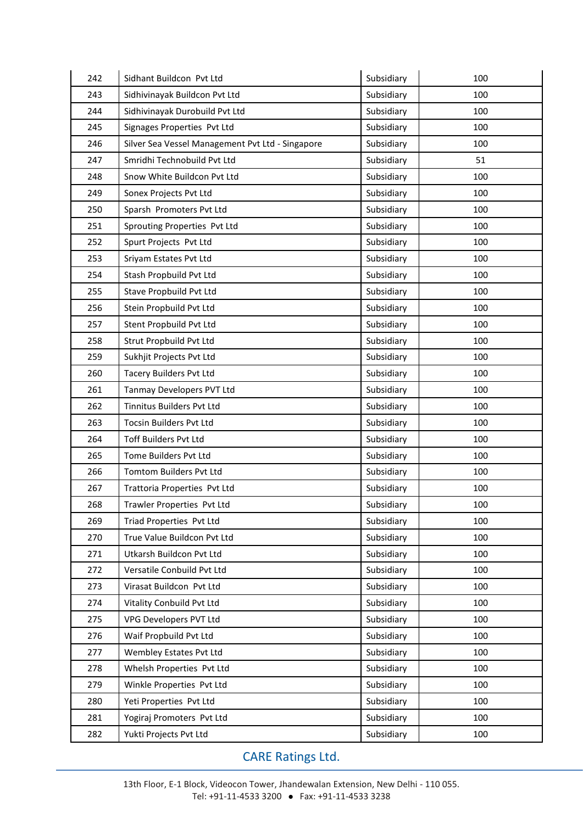| 242 | Sidhant Buildcon Pvt Ltd                         | Subsidiary | 100 |
|-----|--------------------------------------------------|------------|-----|
| 243 | Sidhivinayak Buildcon Pvt Ltd                    | Subsidiary | 100 |
| 244 | Sidhivinayak Durobuild Pvt Ltd                   | Subsidiary | 100 |
| 245 | Signages Properties Pvt Ltd                      | Subsidiary | 100 |
| 246 | Silver Sea Vessel Management Pvt Ltd - Singapore | Subsidiary | 100 |
| 247 | Smridhi Technobuild Pyt Ltd                      | Subsidiary | 51  |
| 248 | Snow White Buildcon Pvt Ltd                      | Subsidiary | 100 |
| 249 | Sonex Projects Pvt Ltd                           | Subsidiary | 100 |
| 250 | Sparsh Promoters Pvt Ltd                         | Subsidiary | 100 |
| 251 | Sprouting Properties Pvt Ltd                     | Subsidiary | 100 |
| 252 | Spurt Projects Pvt Ltd                           | Subsidiary | 100 |
| 253 | Sriyam Estates Pvt Ltd                           | Subsidiary | 100 |
| 254 | Stash Propbuild Pvt Ltd                          | Subsidiary | 100 |
| 255 | Stave Propbuild Pvt Ltd                          | Subsidiary | 100 |
| 256 | Stein Propbuild Pvt Ltd                          | Subsidiary | 100 |
| 257 | Stent Propbuild Pvt Ltd                          | Subsidiary | 100 |
| 258 | Strut Propbuild Pvt Ltd                          | Subsidiary | 100 |
| 259 | Sukhjit Projects Pvt Ltd                         | Subsidiary | 100 |
| 260 | Tacery Builders Pvt Ltd                          | Subsidiary | 100 |
| 261 | Tanmay Developers PVT Ltd                        | Subsidiary | 100 |
| 262 | Tinnitus Builders Pvt Ltd                        | Subsidiary | 100 |
| 263 | Tocsin Builders Pvt Ltd                          | Subsidiary | 100 |
| 264 | Toff Builders Pvt Ltd                            | Subsidiary | 100 |
| 265 | Tome Builders Pvt Ltd                            | Subsidiary | 100 |
| 266 | Tomtom Builders Pvt Ltd                          | Subsidiary | 100 |
| 267 | Trattoria Properties Pvt Ltd                     | Subsidiary | 100 |
| 268 | Trawler Properties Pvt Ltd                       | Subsidiary | 100 |
| 269 | Triad Properties Pvt Ltd                         | Subsidiary | 100 |
| 270 | True Value Buildcon Pvt Ltd                      | Subsidiary | 100 |
| 271 | Utkarsh Buildcon Pvt Ltd                         | Subsidiary | 100 |
| 272 | Versatile Conbuild Pvt Ltd                       | Subsidiary | 100 |
| 273 | Virasat Buildcon Pvt Ltd                         | Subsidiary | 100 |
| 274 | Vitality Conbuild Pvt Ltd                        | Subsidiary | 100 |
| 275 | VPG Developers PVT Ltd                           | Subsidiary | 100 |
| 276 | Waif Propbuild Pvt Ltd                           | Subsidiary | 100 |
| 277 | Wembley Estates Pvt Ltd                          | Subsidiary | 100 |
| 278 | Whelsh Properties Pvt Ltd                        | Subsidiary | 100 |
| 279 | Winkle Properties Pvt Ltd                        | Subsidiary | 100 |
| 280 | Yeti Properties Pvt Ltd                          | Subsidiary | 100 |
| 281 | Yogiraj Promoters Pvt Ltd                        | Subsidiary | 100 |
| 282 | Yukti Projects Pvt Ltd                           | Subsidiary | 100 |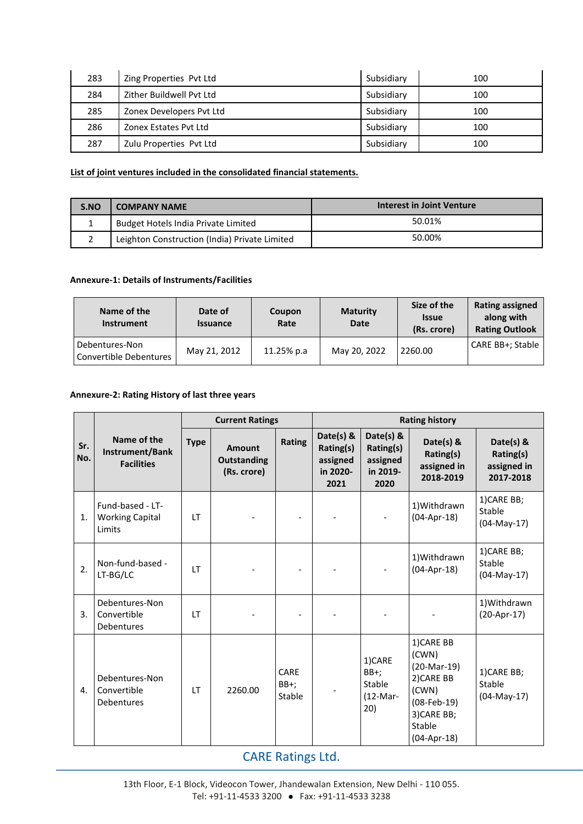| 283 | Zing Properties Pvt Ltd  | Subsidiary | 100 |
|-----|--------------------------|------------|-----|
| 284 | Zither Buildwell Pyt Ltd | Subsidiary | 100 |
| 285 | Zonex Developers Pvt Ltd | Subsidiary | 100 |
| 286 | Zonex Estates Pyt Ltd    | Subsidiary | 100 |
| 287 | Zulu Properties Pvt Ltd  | Subsidiary | 100 |

## **List of joint ventures included in the consolidated financial statements.**

| S.NO | <b>COMPANY NAME</b>                           | Interest in Joint Venture |
|------|-----------------------------------------------|---------------------------|
|      | Budget Hotels India Private Limited           | 50.01%                    |
|      | Leighton Construction (India) Private Limited | 50.00%                    |

#### **Annexure-1: Details of Instruments/Facilities**

| Name of the<br><b>Instrument</b>         | Date of<br><b>Issuance</b> | Coupon<br>Rate | <b>Maturity</b><br><b>Date</b> | Size of the<br><b>Issue</b><br>(Rs. crore) | <b>Rating assigned</b><br>along with<br><b>Rating Outlook</b> |
|------------------------------------------|----------------------------|----------------|--------------------------------|--------------------------------------------|---------------------------------------------------------------|
| Debentures-Non<br>Convertible Debentures | May 21, 2012               | 11.25% p.a     | May 20, 2022                   | 2260.00                                    | CARE BB+; Stable                                              |

## **Annexure-2: Rating History of last three years**

|            |                                                      | <b>Current Ratings</b> |                                             |                           | <b>Rating history</b>                                    |                                                        |                                                                                                                        |                                                      |
|------------|------------------------------------------------------|------------------------|---------------------------------------------|---------------------------|----------------------------------------------------------|--------------------------------------------------------|------------------------------------------------------------------------------------------------------------------------|------------------------------------------------------|
| Sr.<br>No. | Name of the<br>Instrument/Bank<br><b>Facilities</b>  | <b>Type</b>            | Amount<br><b>Outstanding</b><br>(Rs. crore) | Rating                    | Date(s) $8$<br>Rating(s)<br>assigned<br>in 2020-<br>2021 | Date(s) &<br>Rating(s)<br>assigned<br>in 2019-<br>2020 | Date(s) &<br>Rating(s)<br>assigned in<br>2018-2019                                                                     | Date(s) $8$<br>Rating(s)<br>assigned in<br>2017-2018 |
| 1.         | Fund-based - LT-<br><b>Working Capital</b><br>Limits | <b>LT</b>              |                                             |                           |                                                          | $\overline{\phantom{a}}$                               | 1) Withdrawn<br>$(04-Apr-18)$                                                                                          | 1)CARE BB;<br>Stable<br>$(04-May-17)$                |
| 2.         | Non-fund-based -<br>LT-BG/LC                         | <b>LT</b>              |                                             |                           |                                                          |                                                        | 1) Withdrawn<br>$(04-Apr-18)$                                                                                          | 1)CARE BB;<br>Stable<br>$(04-May-17)$                |
| 3.         | Debentures-Non<br>Convertible<br>Debentures          | $\mathsf{I}$           |                                             |                           |                                                          |                                                        |                                                                                                                        | 1) Withdrawn<br>$(20-Apr-17)$                        |
| 4.         | Debentures-Non<br>Convertible<br>Debentures          | $\mathsf{I}$           | 2260.00                                     | CARE<br>$BB+$ ;<br>Stable |                                                          | 1)CARE<br>$BB+$ ;<br>Stable<br>$(12-Mar-$<br>20)       | 1) CARE BB<br>(CWN)<br>$(20-Mar-19)$<br>2) CARE BB<br>(CWN)<br>$(08-Feb-19)$<br>3) CARE BB;<br>Stable<br>$(04-Apr-18)$ | 1) CARE BB;<br>Stable<br>$(04-May-17)$               |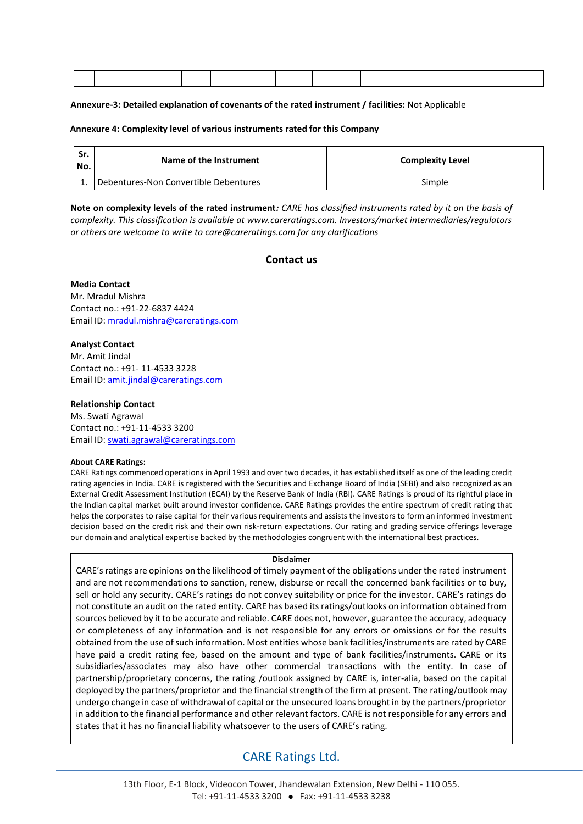#### **Annexure-3: Detailed explanation of covenants of the rated instrument / facilities:** Not Applicable

#### **Annexure 4: Complexity level of various instruments rated for this Company**

| Sr.<br>No. | Name of the Instrument                | <b>Complexity Level</b> |  |
|------------|---------------------------------------|-------------------------|--|
|            | Debentures-Non Convertible Debentures | Simple                  |  |

**Note on complexity levels of the rated instrument***: CARE has classified instruments rated by it on the basis of complexity. This classification is available at www.careratings.com. Investors/market intermediaries/regulators or others are welcome to write to care@careratings.com for any clarifications*

## **Contact us**

#### **Media Contact**

Mr. Mradul Mishra Contact no.: +91-22-6837 4424 Email ID: [mradul.mishra@careratings.com](mailto:mradul.mishra@careratings.com)

#### **Analyst Contact**

Mr. Amit Jindal Contact no.: +91- 11-4533 3228 Email ID: [amit.jindal@careratings.com](mailto:amit.jindal@careratings.com)

#### **Relationship Contact**

Ms. Swati Agrawal Contact no.: +91-11-4533 3200 Email ID: [swati.agrawal@careratings.com](mailto:swati.agrawal@careratings.com)

#### **About CARE Ratings:**

CARE Ratings commenced operations in April 1993 and over two decades, it has established itself as one of the leading credit rating agencies in India. CARE is registered with the Securities and Exchange Board of India (SEBI) and also recognized as an External Credit Assessment Institution (ECAI) by the Reserve Bank of India (RBI). CARE Ratings is proud of its rightful place in the Indian capital market built around investor confidence. CARE Ratings provides the entire spectrum of credit rating that helps the corporates to raise capital for their various requirements and assists the investors to form an informed investment decision based on the credit risk and their own risk-return expectations. Our rating and grading service offerings leverage our domain and analytical expertise backed by the methodologies congruent with the international best practices.

#### **Disclaimer**

CARE's ratings are opinions on the likelihood of timely payment of the obligations under the rated instrument and are not recommendations to sanction, renew, disburse or recall the concerned bank facilities or to buy, sell or hold any security. CARE's ratings do not convey suitability or price for the investor. CARE's ratings do not constitute an audit on the rated entity. CARE has based its ratings/outlooks on information obtained from sources believed by it to be accurate and reliable. CARE does not, however, guarantee the accuracy, adequacy or completeness of any information and is not responsible for any errors or omissions or for the results obtained from the use of such information. Most entities whose bank facilities/instruments are rated by CARE have paid a credit rating fee, based on the amount and type of bank facilities/instruments. CARE or its subsidiaries/associates may also have other commercial transactions with the entity. In case of partnership/proprietary concerns, the rating /outlook assigned by CARE is, inter-alia, based on the capital deployed by the partners/proprietor and the financial strength of the firm at present. The rating/outlook may undergo change in case of withdrawal of capital or the unsecured loans brought in by the partners/proprietor in addition to the financial performance and other relevant factors. CARE is not responsible for any errors and states that it has no financial liability whatsoever to the users of CARE's rating.